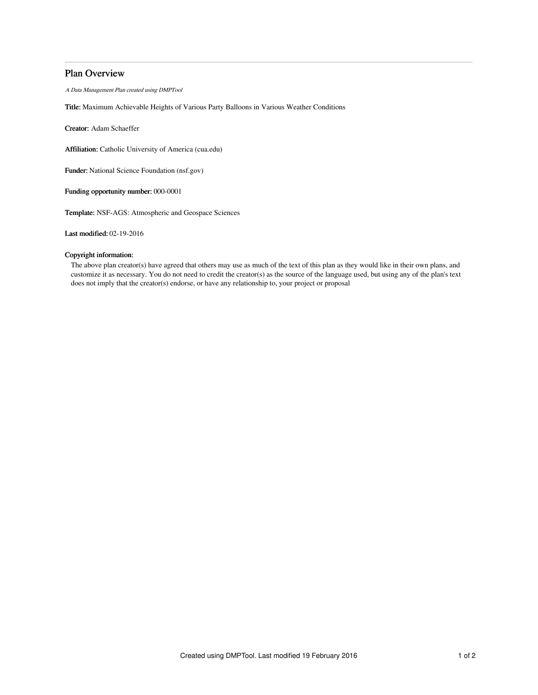## Plan Overview

A Data Management Plan created using DMPTool

Title: Maximum Achievable Heights of Various Party Balloons in Various Weather Conditions

Creator: Adam Schaeffer

Affiliation: Catholic University of America (cua.edu)

Funder: National Science Foundation (nsf.gov)

Funding opportunity number: 000-0001

Template: NSF-AGS: Atmospheric and Geospace Sciences

Last modified: 02-19-2016

## Copyright information:

The above plan creator(s) have agreed that others may use as much of the text of this plan as they would like in their own plans, and customize it as necessary. You do not need to credit the creator(s) as the source of the language used, but using any of the plan's text does not imply that the creator(s) endorse, or have any relationship to, your project or proposal